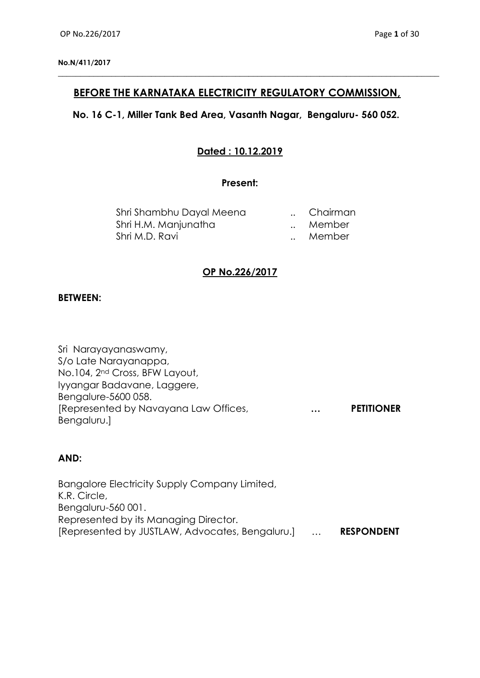## **BEFORE THE KARNATAKA ELECTRICITY REGULATORY COMMISSION,**

**\_\_\_\_\_\_\_\_\_\_\_\_\_\_\_\_\_\_\_\_\_\_\_\_\_\_\_\_\_\_\_\_\_\_\_\_\_\_\_\_\_\_\_\_\_\_\_\_\_\_\_\_\_\_\_\_\_\_\_\_\_\_\_\_\_\_\_\_\_\_\_\_\_\_\_\_\_\_\_\_\_\_\_\_\_\_**

## **No. 16 C-1, Miller Tank Bed Area, Vasanth Nagar, Bengaluru- 560 052.**

# **Dated : 10.12.2019**

#### **Present:**

| Shri Shambhu Dayal Meena | Chairman |
|--------------------------|----------|
| Shri H.M. Manjunatha     | Member   |
| Shri M.D. Ravi           | Member   |

## **OP No.226/2017**

#### **BETWEEN:**

Sri Narayayanaswamy, S/o Late Narayanappa, No.104, 2nd Cross, BFW Layout, Iyyangar Badavane, Laggere, Bengalure-5600 058. [Represented by Navayana Law Offices, **… PETITIONER** Bengaluru.]

## **AND:**

Bangalore Electricity Supply Company Limited, K.R. Circle, Bengaluru-560 001. Represented by its Managing Director. [Represented by JUSTLAW, Advocates, Bengaluru.] … **RESPONDENT**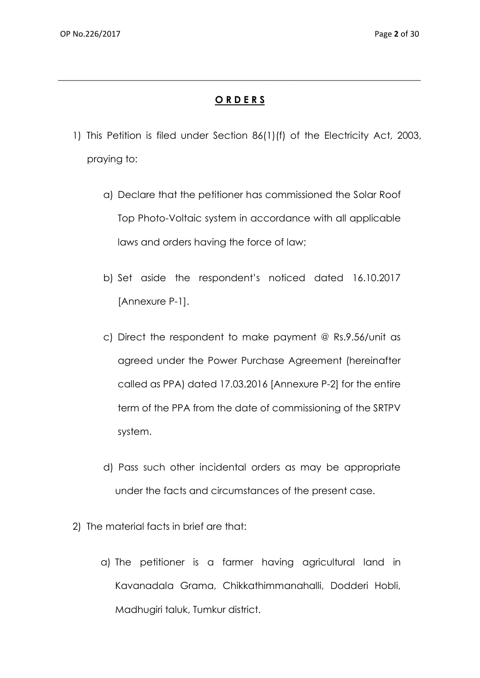# **O R D E R S**

**\_\_\_\_\_\_\_\_\_\_\_\_\_\_\_\_\_\_\_\_\_\_\_\_\_\_\_\_\_\_\_\_\_\_\_\_\_\_\_\_\_\_\_\_\_\_\_\_\_\_\_\_\_\_\_\_\_\_\_\_\_\_\_\_\_\_\_\_\_\_\_\_\_\_\_**

- 1) This Petition is filed under Section 86(1)(f) of the Electricity Act, 2003, praying to:
	- a) Declare that the petitioner has commissioned the Solar Roof Top Photo-Voltaic system in accordance with all applicable laws and orders having the force of law;
	- b) Set aside the respondent's noticed dated 16.10.2017 [Annexure P-1].
	- c) Direct the respondent to make payment @ Rs.9.56/unit as agreed under the Power Purchase Agreement (hereinafter called as PPA) dated 17.03.2016 [Annexure P-2] for the entire term of the PPA from the date of commissioning of the SRTPV system.
	- d) Pass such other incidental orders as may be appropriate under the facts and circumstances of the present case.
- 2) The material facts in brief are that:
	- a) The petitioner is a farmer having agricultural land in Kavanadala Grama, Chikkathimmanahalli, Dodderi Hobli, Madhugiri taluk, Tumkur district.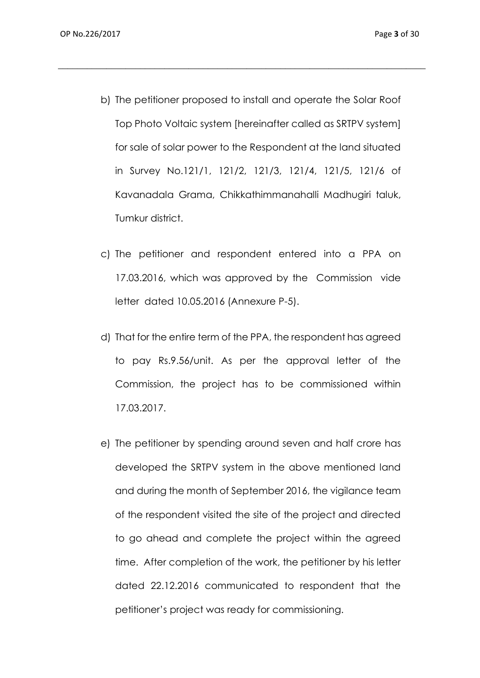b) The petitioner proposed to install and operate the Solar Roof Top Photo Voltaic system [hereinafter called as SRTPV system] for sale of solar power to the Respondent at the land situated in Survey No.121/1, 121/2, 121/3, 121/4, 121/5, 121/6 of Kavanadala Grama, Chikkathimmanahalli Madhugiri taluk, Tumkur district.

- c) The petitioner and respondent entered into a PPA on 17.03.2016, which was approved by the Commission vide letter dated 10.05.2016 (Annexure P-5).
- d) That for the entire term of the PPA, the respondent has agreed to pay Rs.9.56/unit. As per the approval letter of the Commission, the project has to be commissioned within 17.03.2017.
- e) The petitioner by spending around seven and half crore has developed the SRTPV system in the above mentioned land and during the month of September 2016, the vigilance team of the respondent visited the site of the project and directed to go ahead and complete the project within the agreed time. After completion of the work, the petitioner by his letter dated 22.12.2016 communicated to respondent that the petitioner's project was ready for commissioning.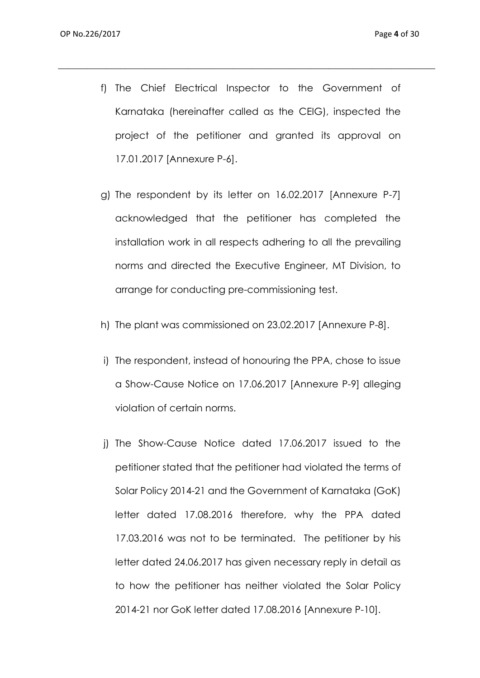f) The Chief Electrical Inspector to the Government of Karnataka (hereinafter called as the CEIG), inspected the project of the petitioner and granted its approval on 17.01.2017 [Annexure P-6].

- g) The respondent by its letter on 16.02.2017 [Annexure P-7] acknowledged that the petitioner has completed the installation work in all respects adhering to all the prevailing norms and directed the Executive Engineer, MT Division, to arrange for conducting pre-commissioning test.
- h) The plant was commissioned on 23.02.2017 [Annexure P-8].
- i) The respondent, instead of honouring the PPA, chose to issue a Show-Cause Notice on 17.06.2017 [Annexure P-9] alleging violation of certain norms.
- j) The Show-Cause Notice dated 17.06.2017 issued to the petitioner stated that the petitioner had violated the terms of Solar Policy 2014-21 and the Government of Karnataka (GoK) letter dated 17.08.2016 therefore, why the PPA dated 17.03.2016 was not to be terminated. The petitioner by his letter dated 24.06.2017 has given necessary reply in detail as to how the petitioner has neither violated the Solar Policy 2014-21 nor GoK letter dated 17.08.2016 [Annexure P-10].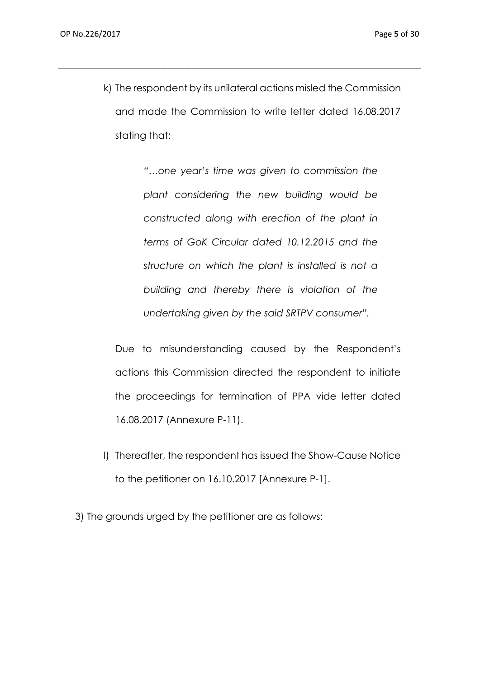k) The respondent by its unilateral actions misled the Commission and made the Commission to write letter dated 16.08.2017 stating that:

 $\_$  , and the set of the set of the set of the set of the set of the set of the set of the set of the set of the set of the set of the set of the set of the set of the set of the set of the set of the set of the set of th

*"…one year's time was given to commission the plant considering the new building would be constructed along with erection of the plant in terms of GoK Circular dated 10.12.2015 and the structure on which the plant is installed is not a building and thereby there is violation of the undertaking given by the said SRTPV consumer".*

Due to misunderstanding caused by the Respondent's actions this Commission directed the respondent to initiate the proceedings for termination of PPA vide letter dated 16.08.2017 (Annexure P-11).

l) Thereafter, the respondent has issued the Show-Cause Notice to the petitioner on 16.10.2017 [Annexure P-1].

3) The grounds urged by the petitioner are as follows: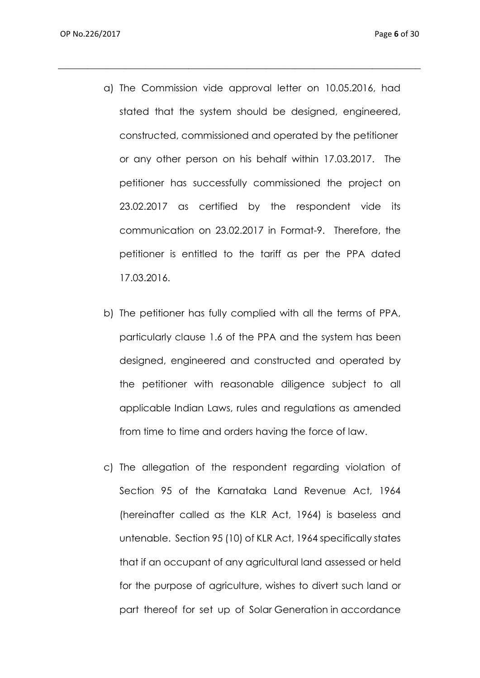a) The Commission vide approval letter on 10.05.2016, had stated that the system should be designed, engineered, constructed, commissioned and operated by the petitioner or any other person on his behalf within 17.03.2017. The petitioner has successfully commissioned the project on 23.02.2017 as certified by the respondent vide its communication on 23.02.2017 in Format-9. Therefore, the petitioner is entitled to the tariff as per the PPA dated 17.03.2016.

- b) The petitioner has fully complied with all the terms of PPA, particularly clause 1.6 of the PPA and the system has been designed, engineered and constructed and operated by the petitioner with reasonable diligence subject to all applicable Indian Laws, rules and regulations as amended from time to time and orders having the force of law.
- c) The allegation of the respondent regarding violation of Section 95 of the Karnataka Land Revenue Act, 1964 (hereinafter called as the KLR Act, 1964) is baseless and untenable. Section 95 (10) of KLR Act, 1964 specifically states that if an occupant of any agricultural land assessed or held for the purpose of agriculture, wishes to divert such land or part thereof for set up of Solar Generation in accordance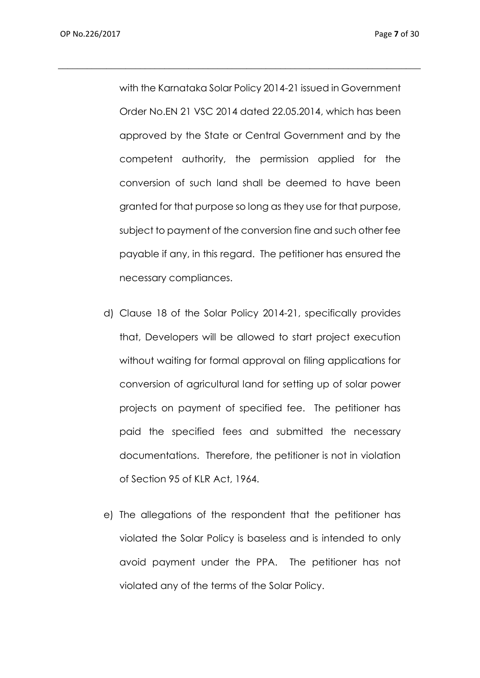with the Karnataka Solar Policy 2014-21 issued in Government Order No.EN 21 VSC 2014 dated 22.05.2014, which has been approved by the State or Central Government and by the competent authority, the permission applied for the conversion of such land shall be deemed to have been granted for that purpose so long as they use for that purpose, subject to payment of the conversion fine and such other fee payable if any, in this regard. The petitioner has ensured the necessary compliances.

- d) Clause 18 of the Solar Policy 2014-21, specifically provides that, Developers will be allowed to start project execution without waiting for formal approval on filing applications for conversion of agricultural land for setting up of solar power projects on payment of specified fee. The petitioner has paid the specified fees and submitted the necessary documentations. Therefore, the petitioner is not in violation of Section 95 of KLR Act, 1964.
- e) The allegations of the respondent that the petitioner has violated the Solar Policy is baseless and is intended to only avoid payment under the PPA. The petitioner has not violated any of the terms of the Solar Policy.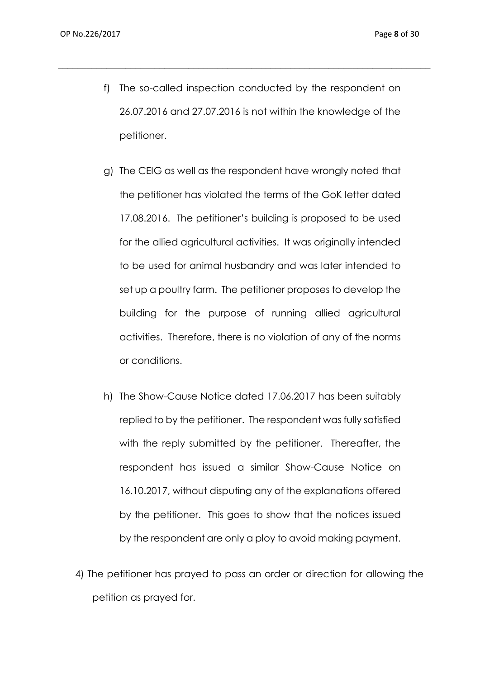f) The so-called inspection conducted by the respondent on 26.07.2016 and 27.07.2016 is not within the knowledge of the petitioner.

\_\_\_\_\_\_\_\_\_\_\_\_\_\_\_\_\_\_\_\_\_\_\_\_\_\_\_\_\_\_\_\_\_\_\_\_\_\_\_\_\_\_\_\_\_\_\_\_\_\_\_\_\_\_\_\_\_\_\_\_\_\_\_\_\_\_\_\_\_\_\_\_\_\_\_\_\_

- g) The CEIG as well as the respondent have wrongly noted that the petitioner has violated the terms of the GoK letter dated 17.08.2016. The petitioner's building is proposed to be used for the allied agricultural activities. It was originally intended to be used for animal husbandry and was later intended to set up a poultry farm. The petitioner proposes to develop the building for the purpose of running allied agricultural activities. Therefore, there is no violation of any of the norms or conditions.
- h) The Show-Cause Notice dated 17.06.2017 has been suitably replied to by the petitioner. The respondent was fully satisfied with the reply submitted by the petitioner. Thereafter, the respondent has issued a similar Show-Cause Notice on 16.10.2017, without disputing any of the explanations offered by the petitioner. This goes to show that the notices issued by the respondent are only a ploy to avoid making payment.
- 4) The petitioner has prayed to pass an order or direction for allowing the petition as prayed for.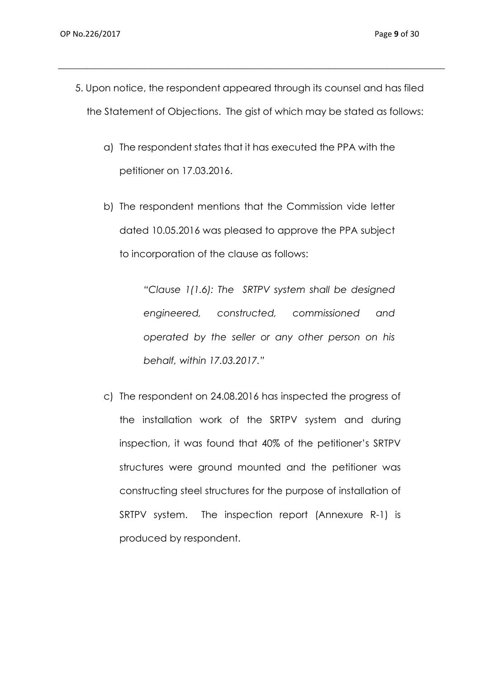5. Upon notice, the respondent appeared through its counsel and has filed the Statement of Objections. The gist of which may be stated as follows:

 $\_$  , and the set of the set of the set of the set of the set of the set of the set of the set of the set of the set of the set of the set of the set of the set of the set of the set of the set of the set of the set of th

- a) The respondent states that it has executed the PPA with the petitioner on 17.03.2016.
- b) The respondent mentions that the Commission vide letter dated 10.05.2016 was pleased to approve the PPA subject to incorporation of the clause as follows:

*"Clause 1(1.6): The SRTPV system shall be designed engineered, constructed, commissioned and operated by the seller or any other person on his behalf, within 17.03.2017."*

c) The respondent on 24.08.2016 has inspected the progress of the installation work of the SRTPV system and during inspection, it was found that 40% of the petitioner's SRTPV structures were ground mounted and the petitioner was constructing steel structures for the purpose of installation of SRTPV system. The inspection report (Annexure R-1) is produced by respondent.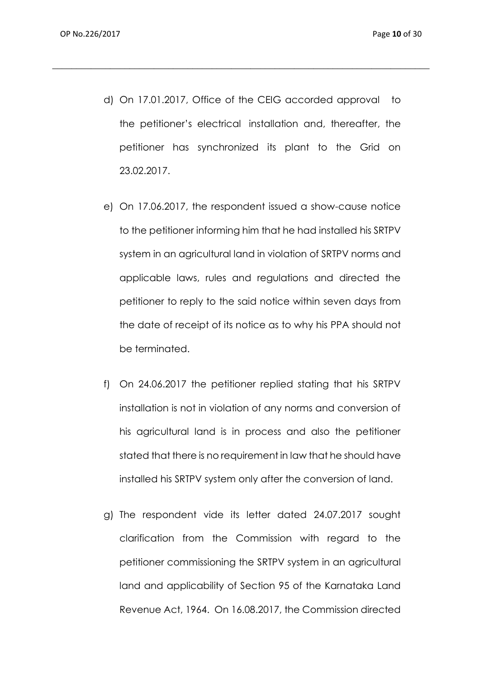d) On 17.01.2017, Office of the CEIG accorded approval to the petitioner's electrical installation and, thereafter, the petitioner has synchronized its plant to the Grid on 23.02.2017.

- e) On 17.06.2017, the respondent issued a show-cause notice to the petitioner informing him that he had installed his SRTPV system in an agricultural land in violation of SRTPV norms and applicable laws, rules and regulations and directed the petitioner to reply to the said notice within seven days from the date of receipt of its notice as to why his PPA should not be terminated.
- f) On 24.06.2017 the petitioner replied stating that his SRTPV installation is not in violation of any norms and conversion of his agricultural land is in process and also the petitioner stated that there is no requirement in law that he should have installed his SRTPV system only after the conversion of land.
- g) The respondent vide its letter dated 24.07.2017 sought clarification from the Commission with regard to the petitioner commissioning the SRTPV system in an agricultural land and applicability of Section 95 of the Karnataka Land Revenue Act, 1964. On 16.08.2017, the Commission directed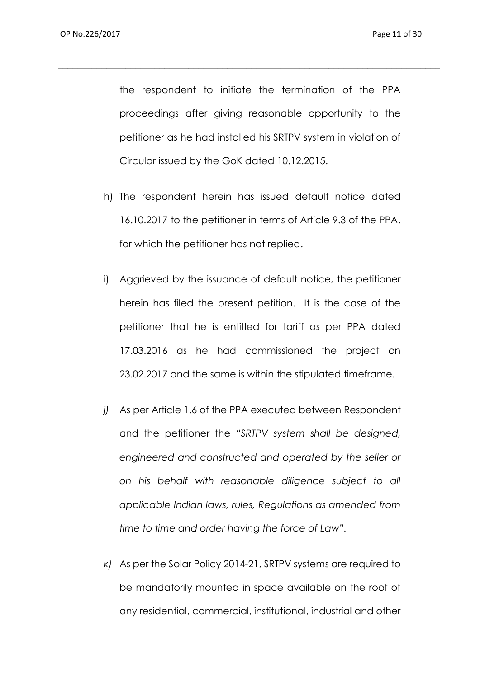the respondent to initiate the termination of the PPA proceedings after giving reasonable opportunity to the petitioner as he had installed his SRTPV system in violation of Circular issued by the GoK dated 10.12.2015.

- h) The respondent herein has issued default notice dated 16.10.2017 to the petitioner in terms of Article 9.3 of the PPA, for which the petitioner has not replied.
- i) Aggrieved by the issuance of default notice, the petitioner herein has filed the present petition. It is the case of the petitioner that he is entitled for tariff as per PPA dated 17.03.2016 as he had commissioned the project on 23.02.2017 and the same is within the stipulated timeframe.
- *j)* As per Article 1.6 of the PPA executed between Respondent and the petitioner the *"SRTPV system shall be designed, engineered and constructed and operated by the seller or on his behalf with reasonable diligence subject to all applicable Indian laws, rules, Regulations as amended from time to time and order having the force of Law".*
- *k)* As per the Solar Policy 2014-21, SRTPV systems are required to be mandatorily mounted in space available on the roof of any residential, commercial, institutional, industrial and other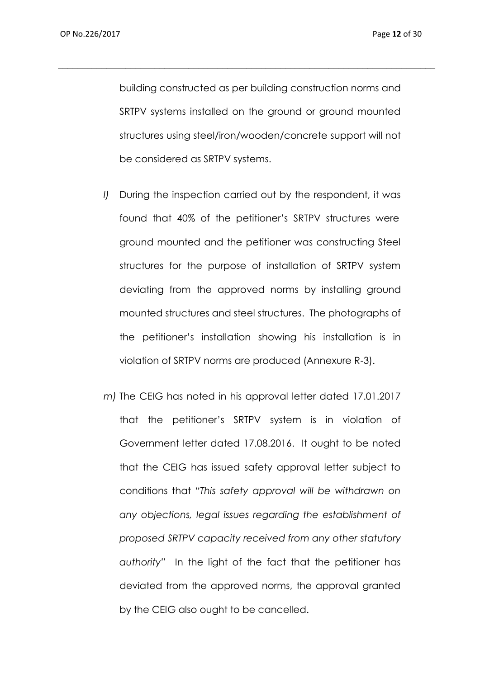building constructed as per building construction norms and SRTPV systems installed on the ground or ground mounted structures using steel/iron/wooden/concrete support will not be considered as SRTPV systems.

- *l)* During the inspection carried out by the respondent, it was found that 40% of the petitioner's SRTPV structures were ground mounted and the petitioner was constructing Steel structures for the purpose of installation of SRTPV system deviating from the approved norms by installing ground mounted structures and steel structures. The photographs of the petitioner's installation showing his installation is in violation of SRTPV norms are produced (Annexure R-3).
- *m)* The CEIG has noted in his approval letter dated 17.01.2017 that the petitioner's SRTPV system is in violation of Government letter dated 17.08.2016. It ought to be noted that the CEIG has issued safety approval letter subject to conditions that *"This safety approval will be withdrawn on any objections, legal issues regarding the establishment of proposed SRTPV capacity received from any other statutory authority"* In the light of the fact that the petitioner has deviated from the approved norms, the approval granted by the CEIG also ought to be cancelled.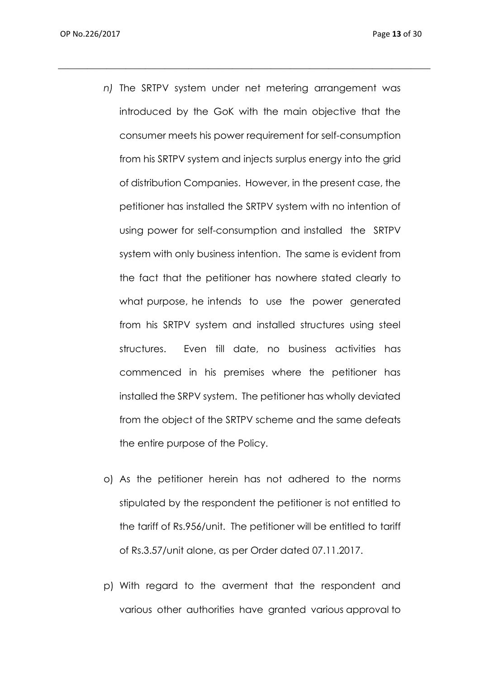*n)* The SRTPV system under net metering arrangement was introduced by the GoK with the main objective that the consumer meets his power requirement for self-consumption from his SRTPV system and injects surplus energy into the grid of distribution Companies. However, in the present case, the petitioner has installed the SRTPV system with no intention of using power for self-consumption and installed the SRTPV system with only business intention. The same is evident from the fact that the petitioner has nowhere stated clearly to what purpose, he intends to use the power generated from his SRTPV system and installed structures using steel structures. Even till date, no business activities has commenced in his premises where the petitioner has installed the SRPV system. The petitioner has wholly deviated from the object of the SRTPV scheme and the same defeats the entire purpose of the Policy.

- o) As the petitioner herein has not adhered to the norms stipulated by the respondent the petitioner is not entitled to the tariff of Rs.956/unit. The petitioner will be entitled to tariff of Rs.3.57/unit alone, as per Order dated 07.11.2017.
- p) With regard to the averment that the respondent and various other authorities have granted various approval to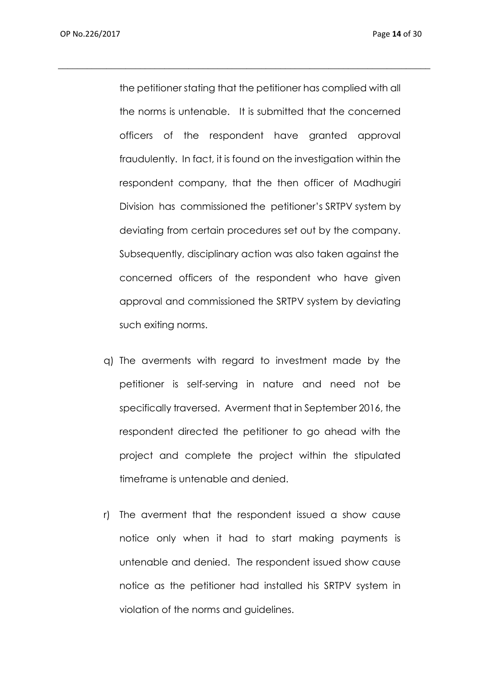the petitioner stating that the petitioner has complied with all the norms is untenable. It is submitted that the concerned officers of the respondent have granted approval fraudulently. In fact, it is found on the investigation within the respondent company, that the then officer of Madhugiri Division has commissioned the petitioner's SRTPV system by deviating from certain procedures set out by the company. Subsequently, disciplinary action was also taken against the concerned officers of the respondent who have given approval and commissioned the SRTPV system by deviating such exiting norms.

- q) The averments with regard to investment made by the petitioner is self-serving in nature and need not be specifically traversed. Averment that in September 2016, the respondent directed the petitioner to go ahead with the project and complete the project within the stipulated timeframe is untenable and denied.
- r) The averment that the respondent issued a show cause notice only when it had to start making payments is untenable and denied. The respondent issued show cause notice as the petitioner had installed his SRTPV system in violation of the norms and guidelines.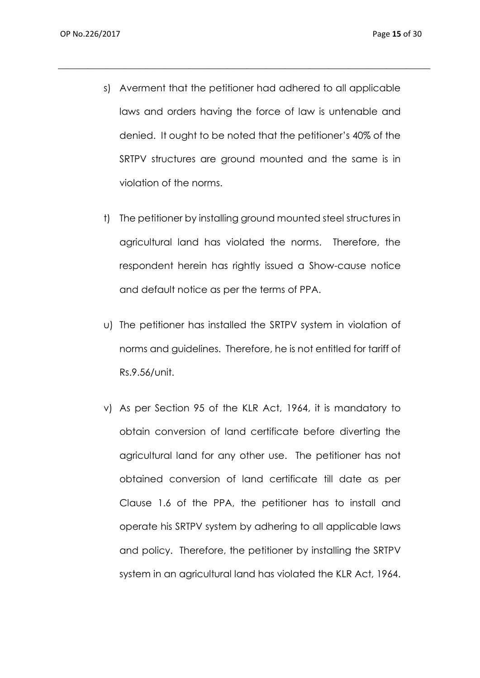s) Averment that the petitioner had adhered to all applicable laws and orders having the force of law is untenable and denied. It ought to be noted that the petitioner's 40% of the SRTPV structures are ground mounted and the same is in violation of the norms.

- t) The petitioner by installing ground mounted steel structures in agricultural land has violated the norms. Therefore, the respondent herein has rightly issued a Show-cause notice and default notice as per the terms of PPA.
- u) The petitioner has installed the SRTPV system in violation of norms and guidelines. Therefore, he is not entitled for tariff of Rs.9.56/unit.
- v) As per Section 95 of the KLR Act, 1964, it is mandatory to obtain conversion of land certificate before diverting the agricultural land for any other use. The petitioner has not obtained conversion of land certificate till date as per Clause 1.6 of the PPA, the petitioner has to install and operate his SRTPV system by adhering to all applicable laws and policy. Therefore, the petitioner by installing the SRTPV system in an agricultural land has violated the KLR Act, 1964.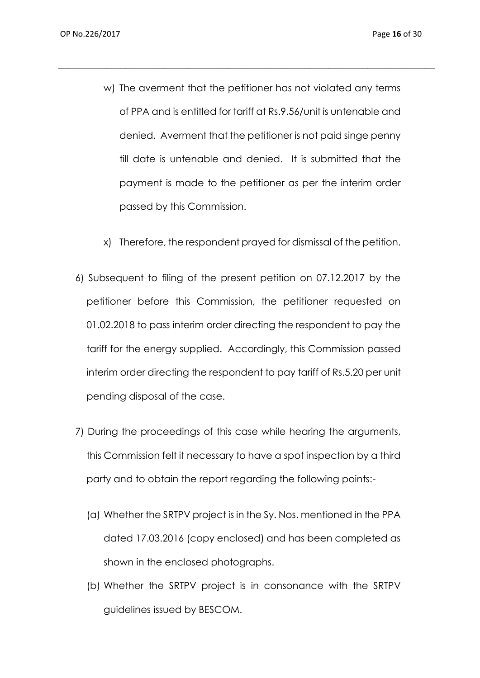w) The averment that the petitioner has not violated any terms of PPA and is entitled for tariff at Rs.9.56/unit is untenable and denied. Averment that the petitioner is not paid singe penny till date is untenable and denied. It is submitted that the payment is made to the petitioner as per the interim order passed by this Commission.

- x) Therefore, the respondent prayed for dismissal of the petition.
- 6) Subsequent to filing of the present petition on 07.12.2017 by the petitioner before this Commission, the petitioner requested on 01.02.2018 to pass interim order directing the respondent to pay the tariff for the energy supplied. Accordingly, this Commission passed interim order directing the respondent to pay tariff of Rs.5.20 per unit pending disposal of the case.
- 7) During the proceedings of this case while hearing the arguments, this Commission felt it necessary to have a spot inspection by a third party and to obtain the report regarding the following points:-
	- (a) Whether the SRTPV project is in the Sy. Nos. mentioned in the PPA dated 17.03.2016 (copy enclosed) and has been completed as shown in the enclosed photographs.
	- (b) Whether the SRTPV project is in consonance with the SRTPV guidelines issued by BESCOM.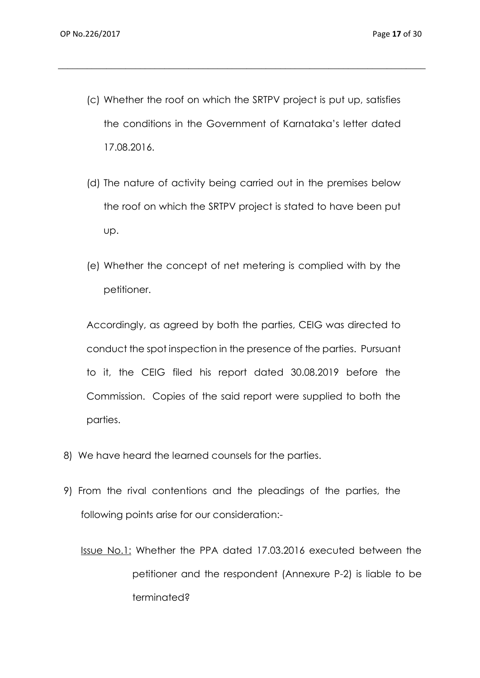(c) Whether the roof on which the SRTPV project is put up, satisfies the conditions in the Government of Karnataka's letter dated 17.08.2016.

 $\_$  , and the set of the set of the set of the set of the set of the set of the set of the set of the set of the set of the set of the set of the set of the set of the set of the set of the set of the set of the set of th

- (d) The nature of activity being carried out in the premises below the roof on which the SRTPV project is stated to have been put up.
- (e) Whether the concept of net metering is complied with by the petitioner.

Accordingly, as agreed by both the parties, CEIG was directed to conduct the spot inspection in the presence of the parties. Pursuant to it, the CEIG filed his report dated 30.08.2019 before the Commission. Copies of the said report were supplied to both the parties.

- 8) We have heard the learned counsels for the parties.
- 9) From the rival contentions and the pleadings of the parties, the following points arise for our consideration:-

Issue No.1: Whether the PPA dated 17.03.2016 executed between the petitioner and the respondent (Annexure P-2) is liable to be terminated?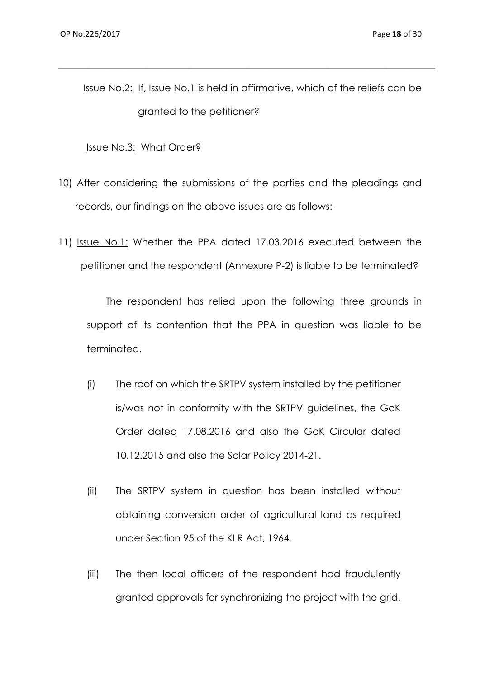Issue No.2: If, Issue No.1 is held in affirmative, which of the reliefs can be granted to the petitioner?

 $\_$  , and the set of the set of the set of the set of the set of the set of the set of the set of the set of the set of the set of the set of the set of the set of the set of the set of the set of the set of the set of th

Issue No.3: What Order?

- 10) After considering the submissions of the parties and the pleadings and records, our findings on the above issues are as follows:-
- 11) Issue No.1: Whether the PPA dated 17.03.2016 executed between the petitioner and the respondent (Annexure P-2) is liable to be terminated?

 The respondent has relied upon the following three grounds in support of its contention that the PPA in question was liable to be terminated.

- (i) The roof on which the SRTPV system installed by the petitioner is/was not in conformity with the SRTPV guidelines, the GoK Order dated 17.08.2016 and also the GoK Circular dated 10.12.2015 and also the Solar Policy 2014-21.
- (ii) The SRTPV system in question has been installed without obtaining conversion order of agricultural land as required under Section 95 of the KLR Act, 1964.
- (iii) The then local officers of the respondent had fraudulently granted approvals for synchronizing the project with the grid.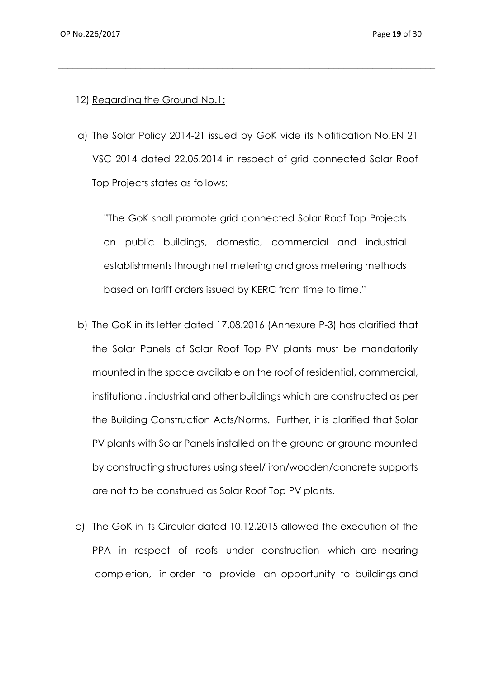- 12) Regarding the Ground No.1:
- a) The Solar Policy 2014-21 issued by GoK vide its Notification No.EN 21 VSC 2014 dated 22.05.2014 in respect of grid connected Solar Roof Top Projects states as follows:

 $\_$  , and the set of the set of the set of the set of the set of the set of the set of the set of the set of the set of the set of the set of the set of the set of the set of the set of the set of the set of the set of th

"The GoK shall promote grid connected Solar Roof Top Projects on public buildings, domestic, commercial and industrial establishments through net metering and gross metering methods based on tariff orders issued by KERC from time to time."

- b) The GoK in its letter dated 17.08.2016 (Annexure P-3) has clarified that the Solar Panels of Solar Roof Top PV plants must be mandatorily mounted in the space available on the roof of residential, commercial, institutional, industrial and other buildings which are constructed as per the Building Construction Acts/Norms. Further, it is clarified that Solar PV plants with Solar Panels installed on the ground or ground mounted by constructing structures using steel/ iron/wooden/concrete supports are not to be construed as Solar Roof Top PV plants.
- c) The GoK in its Circular dated 10.12.2015 allowed the execution of the PPA in respect of roofs under construction which are nearing completion, in order to provide an opportunity to buildings and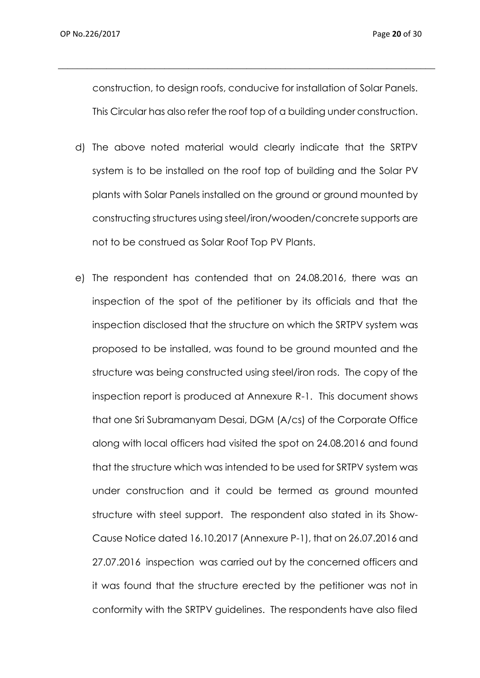construction, to design roofs, conducive for installation of Solar Panels. This Circular has also refer the roof top of a building under construction.

- d) The above noted material would clearly indicate that the SRTPV system is to be installed on the roof top of building and the Solar PV plants with Solar Panels installed on the ground or ground mounted by constructing structures using steel/iron/wooden/concrete supports are not to be construed as Solar Roof Top PV Plants.
- e) The respondent has contended that on 24.08.2016, there was an inspection of the spot of the petitioner by its officials and that the inspection disclosed that the structure on which the SRTPV system was proposed to be installed, was found to be ground mounted and the structure was being constructed using steel/iron rods. The copy of the inspection report is produced at Annexure R-1. This document shows that one Sri Subramanyam Desai, DGM (A/cs) of the Corporate Office along with local officers had visited the spot on 24.08.2016 and found that the structure which was intended to be used for SRTPV system was under construction and it could be termed as ground mounted structure with steel support. The respondent also stated in its Show-Cause Notice dated 16.10.2017 (Annexure P-1), that on 26.07.2016 and 27.07.2016 inspection was carried out by the concerned officers and it was found that the structure erected by the petitioner was not in conformity with the SRTPV guidelines. The respondents have also filed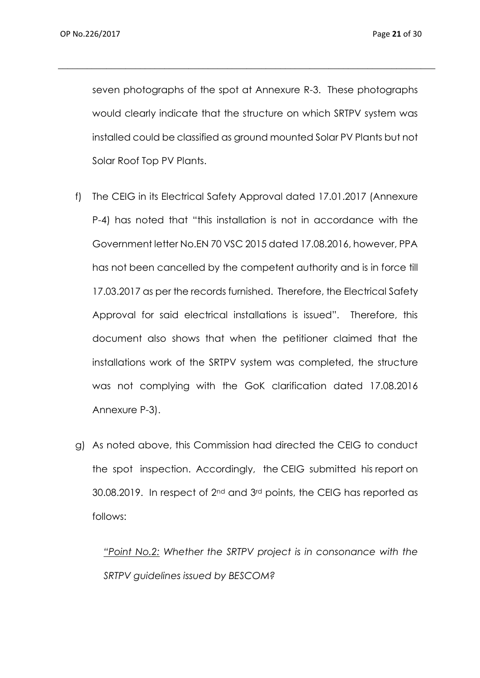OP No.226/2017 Page **21** of 30

seven photographs of the spot at Annexure R-3. These photographs would clearly indicate that the structure on which SRTPV system was installed could be classified as ground mounted Solar PV Plants but not Solar Roof Top PV Plants.

 $\_$  , and the set of the set of the set of the set of the set of the set of the set of the set of the set of the set of the set of the set of the set of the set of the set of the set of the set of the set of the set of th

- f) The CEIG in its Electrical Safety Approval dated 17.01.2017 (Annexure P-4) has noted that "this installation is not in accordance with the Government letter No.EN 70 VSC 2015 dated 17.08.2016, however, PPA has not been cancelled by the competent authority and is in force till 17.03.2017 as per the records furnished. Therefore, the Electrical Safety Approval for said electrical installations is issued". Therefore, this document also shows that when the petitioner claimed that the installations work of the SRTPV system was completed, the structure was not complying with the GoK clarification dated 17.08.2016 Annexure P-3).
- g) As noted above, this Commission had directed the CEIG to conduct the spot inspection. Accordingly, the CEIG submitted his report on 30.08.2019. In respect of 2<sup>nd</sup> and 3<sup>rd</sup> points, the CEIG has reported as follows:

*"Point No.2: Whether the SRTPV project is in consonance with the SRTPV guidelines issued by BESCOM?*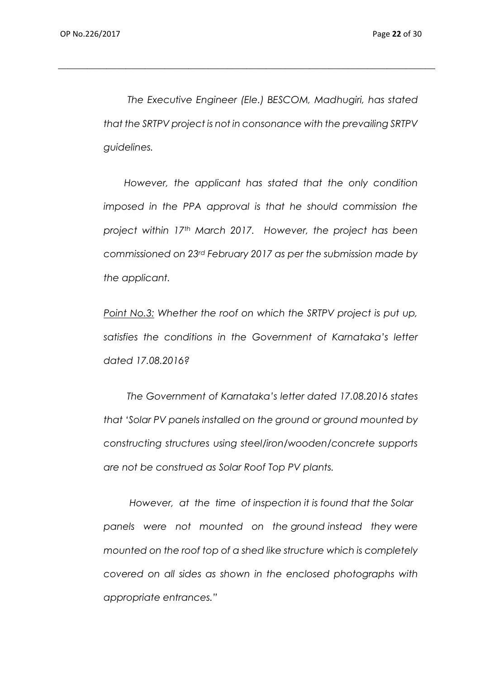*The Executive Engineer (Ele.) BESCOM, Madhugiri, has stated that the SRTPV project is not in consonance with the prevailing SRTPV guidelines.* 

*\_\_\_\_\_\_\_\_\_\_\_\_\_\_\_\_\_\_\_\_\_\_\_\_\_\_\_\_\_\_\_\_\_\_\_\_\_\_\_\_\_\_\_\_\_\_\_\_\_\_\_\_\_\_\_\_\_\_\_\_\_\_\_\_\_\_\_\_\_\_\_\_\_\_\_\_\_\_*

 *However, the applicant has stated that the only condition imposed in the PPA approval is that he should commission the project within 17th March 2017. However, the project has been commissioned on 23rd February 2017 as per the submission made by the applicant.*

*Point No.3: Whether the roof on which the SRTPV project is put up, satisfies the conditions in the Government of Karnataka's letter dated 17.08.2016?*

 *The Government of Karnataka's letter dated 17.08.2016 states that 'Solar PV panels installed on the ground or ground mounted by constructing structures using steel/iron/wooden/concrete supports are not be construed as Solar Roof Top PV plants.*

 *However, at the time of inspection it is found that the Solar panels were not mounted on the ground instead they were mounted on the roof top of a shed like structure which is completely covered on all sides as shown in the enclosed photographs with appropriate entrances."*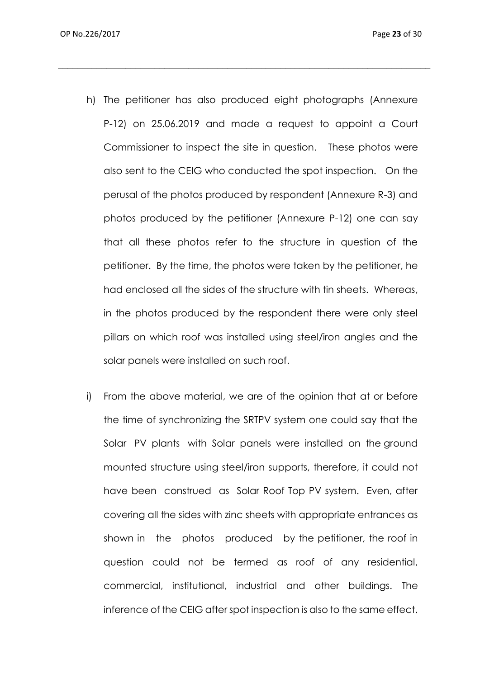h) The petitioner has also produced eight photographs (Annexure P-12) on 25.06.2019 and made a request to appoint a Court Commissioner to inspect the site in question. These photos were also sent to the CEIG who conducted the spot inspection. On the perusal of the photos produced by respondent (Annexure R-3) and photos produced by the petitioner (Annexure P-12) one can say that all these photos refer to the structure in question of the petitioner. By the time, the photos were taken by the petitioner, he had enclosed all the sides of the structure with tin sheets. Whereas, in the photos produced by the respondent there were only steel pillars on which roof was installed using steel/iron angles and the solar panels were installed on such roof.

 $\_$  , and the set of the set of the set of the set of the set of the set of the set of the set of the set of the set of the set of the set of the set of the set of the set of the set of the set of the set of the set of th

i) From the above material, we are of the opinion that at or before the time of synchronizing the SRTPV system one could say that the Solar PV plants with Solar panels were installed on the ground mounted structure using steel/iron supports, therefore, it could not have been construed as Solar Roof Top PV system. Even, after covering all the sides with zinc sheets with appropriate entrances as shown in the photos produced by the petitioner, the roof in question could not be termed as roof of any residential, commercial, institutional, industrial and other buildings. The inference of the CEIG after spot inspection is also to the same effect.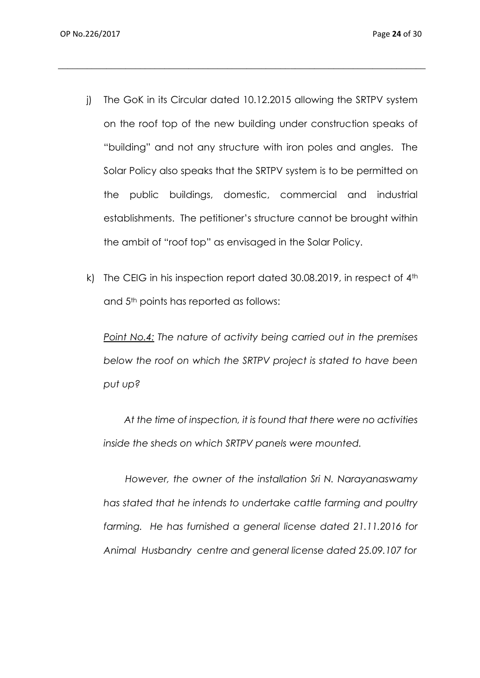j) The GoK in its Circular dated 10.12.2015 allowing the SRTPV system on the roof top of the new building under construction speaks of "building" and not any structure with iron poles and angles. The Solar Policy also speaks that the SRTPV system is to be permitted on the public buildings, domestic, commercial and industrial establishments. The petitioner's structure cannot be brought within the ambit of "roof top" as envisaged in the Solar Policy.

 $\_$  , and the set of the set of the set of the set of the set of the set of the set of the set of the set of the set of the set of the set of the set of the set of the set of the set of the set of the set of the set of th

k) The CEIG in his inspection report dated  $30.08.2019$ , in respect of  $4<sup>th</sup>$ and 5<sup>th</sup> points has reported as follows:

*Point No.4: The nature of activity being carried out in the premises below the roof on which the SRTPV project is stated to have been put up?*

 *At the time of inspection, it is found that there were no activities inside the sheds on which SRTPV panels were mounted.*

 *However, the owner of the installation Sri N. Narayanaswamy has stated that he intends to undertake cattle farming and poultry farming. He has furnished a general license dated 21.11.2016 for Animal Husbandry centre and general license dated 25.09.107 for*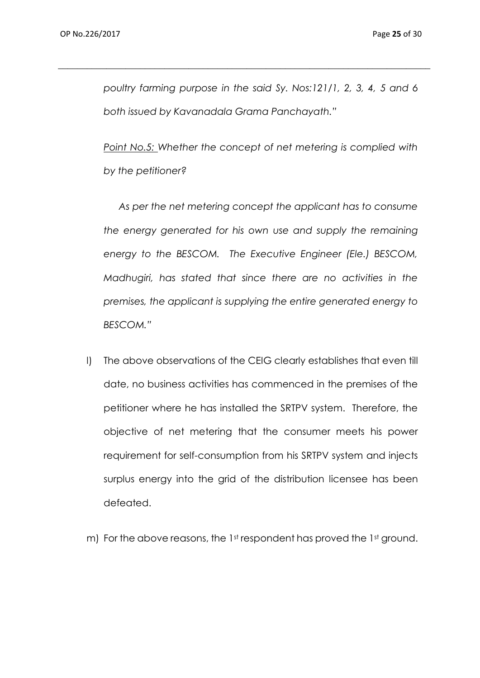*poultry farming purpose in the said Sy. Nos:121/1, 2, 3, 4, 5 and 6 both issued by Kavanadala Grama Panchayath."*

 $\_$  , and the set of the set of the set of the set of the set of the set of the set of the set of the set of the set of the set of the set of the set of the set of the set of the set of the set of the set of the set of th

*Point No.5: Whether the concept of net metering is complied with by the petitioner?*

*As per the net metering concept the applicant has to consume the energy generated for his own use and supply the remaining energy to the BESCOM. The Executive Engineer (Ele.) BESCOM, Madhugiri, has stated that since there are no activities in the premises, the applicant is supplying the entire generated energy to BESCOM."*

- l) The above observations of the CEIG clearly establishes that even till date, no business activities has commenced in the premises of the petitioner where he has installed the SRTPV system. Therefore, the objective of net metering that the consumer meets his power requirement for self-consumption from his SRTPV system and injects surplus energy into the grid of the distribution licensee has been defeated.
- m) For the above reasons, the 1st respondent has proved the 1st ground.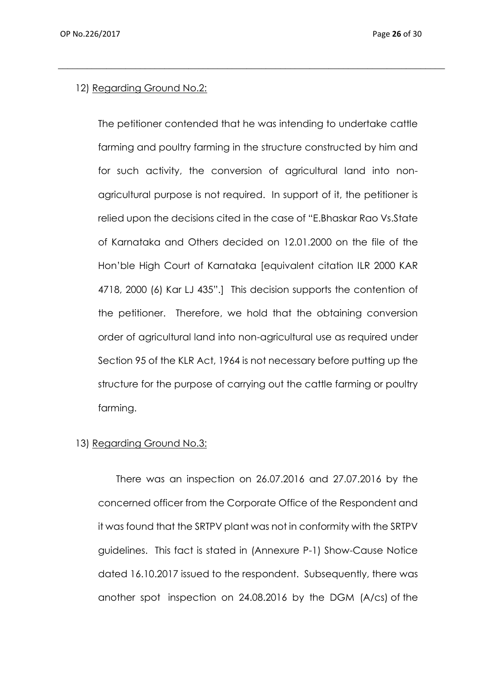## 12) Regarding Ground No.2:

The petitioner contended that he was intending to undertake cattle farming and poultry farming in the structure constructed by him and for such activity, the conversion of agricultural land into nonagricultural purpose is not required. In support of it, the petitioner is relied upon the decisions cited in the case of "E.Bhaskar Rao Vs.State of Karnataka and Others decided on 12.01.2000 on the file of the Hon'ble High Court of Karnataka [equivalent citation ILR 2000 KAR 4718, 2000 (6) Kar LJ 435".] This decision supports the contention of the petitioner. Therefore, we hold that the obtaining conversion order of agricultural land into non-agricultural use as required under Section 95 of the KLR Act, 1964 is not necessary before putting up the structure for the purpose of carrying out the cattle farming or poultry farming.

 $\_$  , and the set of the set of the set of the set of the set of the set of the set of the set of the set of the set of the set of the set of the set of the set of the set of the set of the set of the set of the set of th

## 13) Regarding Ground No.3:

There was an inspection on 26.07.2016 and 27.07.2016 by the concerned officer from the Corporate Office of the Respondent and it was found that the SRTPV plant was not in conformity with the SRTPV guidelines. This fact is stated in (Annexure P-1) Show-Cause Notice dated 16.10.2017 issued to the respondent. Subsequently, there was another spot inspection on 24.08.2016 by the DGM (A/cs) of the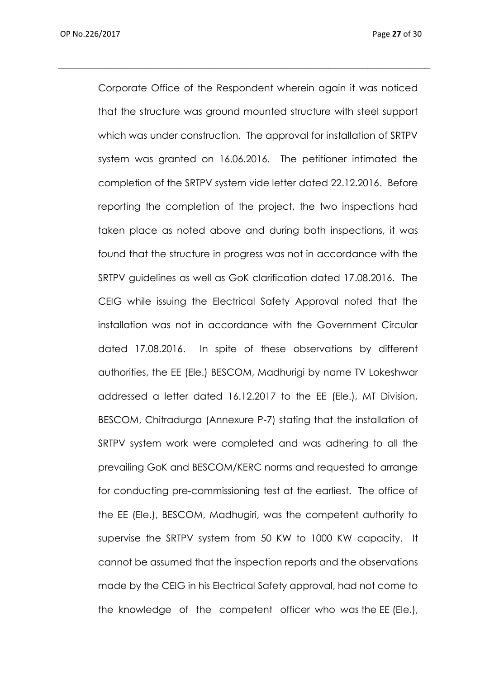Corporate Office of the Respondent wherein again it was noticed that the structure was ground mounted structure with steel support which was under construction. The approval for installation of SRTPV system was granted on 16.06.2016. The petitioner intimated the completion of the SRTPV system vide letter dated 22.12.2016. Before reporting the completion of the project, the two inspections had taken place as noted above and during both inspections, it was found that the structure in progress was not in accordance with the SRTPV guidelines as well as GoK clarification dated 17.08.2016. The CEIG while issuing the Electrical Safety Approval noted that the installation was not in accordance with the Government Circular dated 17.08.2016. In spite of these observations by different authorities, the EE (Ele.) BESCOM, Madhurigi by name TV Lokeshwar addressed a letter dated 16.12.2017 to the EE (Ele.), MT Division, BESCOM, Chitradurga (Annexure P-7) stating that the installation of SRTPV system work were completed and was adhering to all the prevailing GoK and BESCOM/KERC norms and requested to arrange for conducting pre-commissioning test at the earliest. The office of the EE (Ele.), BESCOM, Madhugiri, was the competent authority to supervise the SRTPV system from 50 KW to 1000 KW capacity. It cannot be assumed that the inspection reports and the observations made by the CEIG in his Electrical Safety approval, had not come to the knowledge of the competent officer who was the EE (Ele.),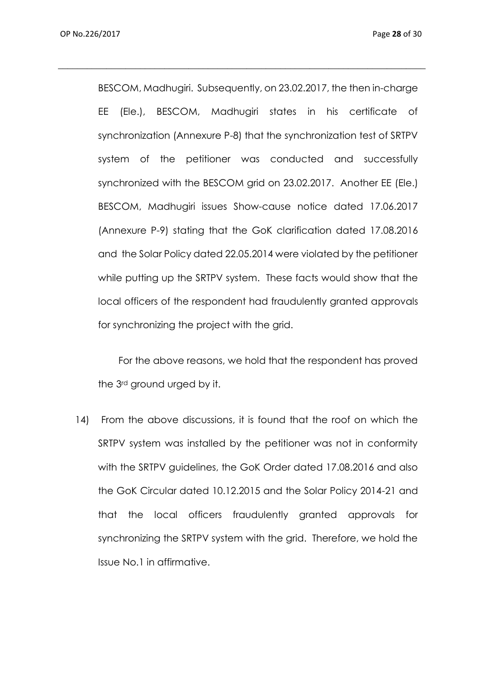BESCOM, Madhugiri. Subsequently, on 23.02.2017, the then in-charge EE (Ele.), BESCOM, Madhugiri states in his certificate of synchronization (Annexure P-8) that the synchronization test of SRTPV system of the petitioner was conducted and successfully synchronized with the BESCOM grid on 23.02.2017. Another EE (Ele.) BESCOM, Madhugiri issues Show-cause notice dated 17.06.2017 (Annexure P-9) stating that the GoK clarification dated 17.08.2016 and the Solar Policy dated 22.05.2014 were violated by the petitioner while putting up the SRTPV system. These facts would show that the local officers of the respondent had fraudulently granted approvals for synchronizing the project with the grid.

 $\_$  , and the set of the set of the set of the set of the set of the set of the set of the set of the set of the set of the set of the set of the set of the set of the set of the set of the set of the set of the set of th

 For the above reasons, we hold that the respondent has proved the 3rd ground urged by it.

14) From the above discussions, it is found that the roof on which the SRTPV system was installed by the petitioner was not in conformity with the SRTPV guidelines, the GoK Order dated 17.08.2016 and also the GoK Circular dated 10.12.2015 and the Solar Policy 2014-21 and that the local officers fraudulently granted approvals for synchronizing the SRTPV system with the grid. Therefore, we hold the Issue No.1 in affirmative.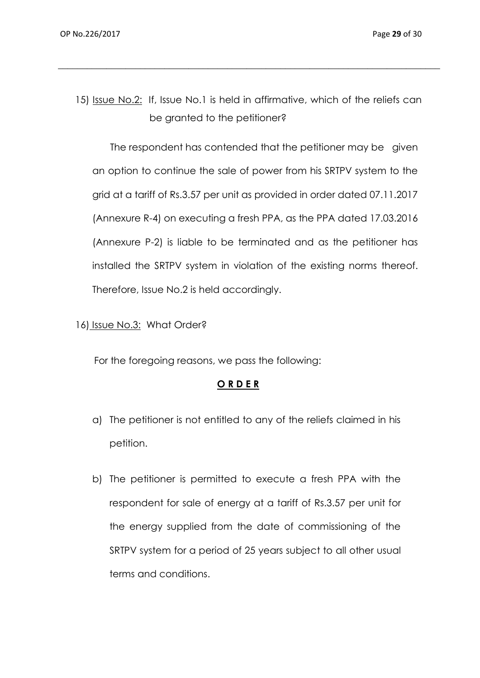15) Issue No.2: If, Issue No.1 is held in affirmative, which of the reliefs can be granted to the petitioner?

 $\_$  , and the set of the set of the set of the set of the set of the set of the set of the set of the set of the set of the set of the set of the set of the set of the set of the set of the set of the set of the set of th

 The respondent has contended that the petitioner may be given an option to continue the sale of power from his SRTPV system to the grid at a tariff of Rs.3.57 per unit as provided in order dated 07.11.2017 (Annexure R-4) on executing a fresh PPA, as the PPA dated 17.03.2016 (Annexure P-2) is liable to be terminated and as the petitioner has installed the SRTPV system in violation of the existing norms thereof. Therefore, Issue No.2 is held accordingly.

16) Issue No.3: What Order?

For the foregoing reasons, we pass the following:

#### **O R D E R**

- a) The petitioner is not entitled to any of the reliefs claimed in his petition.
- b) The petitioner is permitted to execute a fresh PPA with the respondent for sale of energy at a tariff of Rs.3.57 per unit for the energy supplied from the date of commissioning of the SRTPV system for a period of 25 years subject to all other usual terms and conditions.